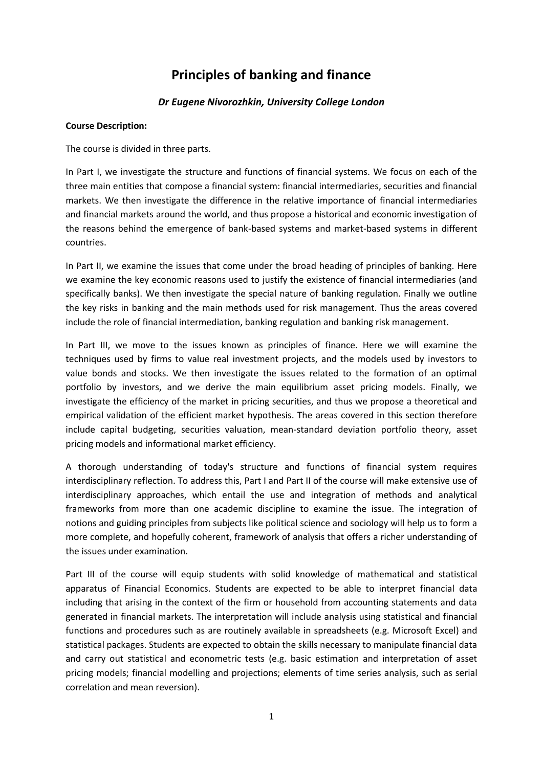# **Principles of banking and finance**

## *Dr Eugene Nivorozhkin, University College London*

### **Course Description:**

The course is divided in three parts.

In Part I, we investigate the structure and functions of financial systems. We focus on each of the three main entities that compose a financial system: financial intermediaries, securities and financial markets. We then investigate the difference in the relative importance of financial intermediaries and financial markets around the world, and thus propose a historical and economic investigation of the reasons behind the emergence of bank-based systems and market-based systems in different countries.

In Part II, we examine the issues that come under the broad heading of principles of banking. Here we examine the key economic reasons used to justify the existence of financial intermediaries (and specifically banks). We then investigate the special nature of banking regulation. Finally we outline the key risks in banking and the main methods used for risk management. Thus the areas covered include the role of financial intermediation, banking regulation and banking risk management.

In Part III, we move to the issues known as principles of finance. Here we will examine the techniques used by firms to value real investment projects, and the models used by investors to value bonds and stocks. We then investigate the issues related to the formation of an optimal portfolio by investors, and we derive the main equilibrium asset pricing models. Finally, we investigate the efficiency of the market in pricing securities, and thus we propose a theoretical and empirical validation of the efficient market hypothesis. The areas covered in this section therefore include capital budgeting, securities valuation, mean-standard deviation portfolio theory, asset pricing models and informational market efficiency.

A thorough understanding of today's structure and functions of financial system requires interdisciplinary reflection. To address this, Part I and Part II of the course will make extensive use of interdisciplinary approaches, which entail the use and integration of methods and analytical frameworks from more than one academic discipline to examine the issue. The integration of notions and guiding principles from subjects like political science and sociology will help us to form a more complete, and hopefully coherent, framework of analysis that offers a richer understanding of the issues under examination.

Part III of the course will equip students with solid knowledge of mathematical and statistical apparatus of Financial Economics. Students are expected to be able to interpret financial data including that arising in the context of the firm or household from accounting statements and data generated in financial markets. The interpretation will include analysis using statistical and financial functions and procedures such as are routinely available in spreadsheets (e.g. Microsoft Excel) and statistical packages. Students are expected to obtain the skills necessary to manipulate financial data and carry out statistical and econometric tests (e.g. basic estimation and interpretation of asset pricing models; financial modelling and projections; elements of time series analysis, such as serial correlation and mean reversion).